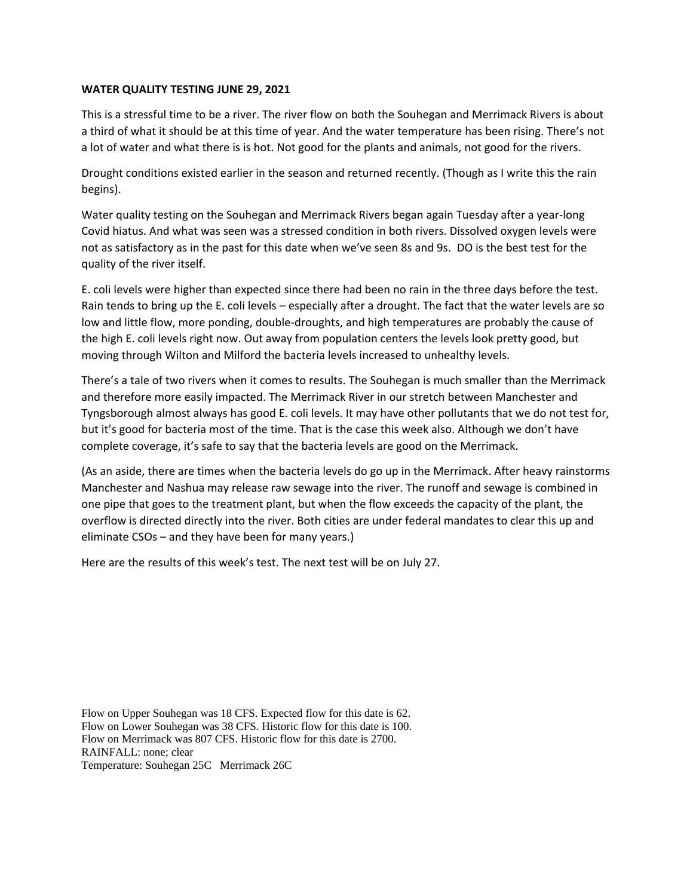# **WATER QUALITY TESTING JUNE 29, 2021**

This is a stressful time to be a river. The river flow on both the Souhegan and Merrimack Rivers is about a third of what it should be at this time of year. And the water temperature has been rising. There's not a lot of water and what there is is hot. Not good for the plants and animals, not good for the rivers.

Drought conditions existed earlier in the season and returned recently. (Though as I write this the rain begins).

Water quality testing on the Souhegan and Merrimack Rivers began again Tuesday after a year-long Covid hiatus. And what was seen was a stressed condition in both rivers. Dissolved oxygen levels were not as satisfactory as in the past for this date when we've seen 8s and 9s. DO is the best test for the quality of the river itself.

E. coli levels were higher than expected since there had been no rain in the three days before the test. Rain tends to bring up the E. coli levels – especially after a drought. The fact that the water levels are so low and little flow, more ponding, double-droughts, and high temperatures are probably the cause of the high E. coli levels right now. Out away from population centers the levels look pretty good, but moving through Wilton and Milford the bacteria levels increased to unhealthy levels.

There's a tale of two rivers when it comes to results. The Souhegan is much smaller than the Merrimack and therefore more easily impacted. The Merrimack River in our stretch between Manchester and Tyngsborough almost always has good E. coli levels. It may have other pollutants that we do not test for, but it's good for bacteria most of the time. That is the case this week also. Although we don't have complete coverage, it's safe to say that the bacteria levels are good on the Merrimack.

(As an aside, there are times when the bacteria levels do go up in the Merrimack. After heavy rainstorms Manchester and Nashua may release raw sewage into the river. The runoff and sewage is combined in one pipe that goes to the treatment plant, but when the flow exceeds the capacity of the plant, the overflow is directed directly into the river. Both cities are under federal mandates to clear this up and eliminate CSOs – and they have been for many years.)

Here are the results of this week's test. The next test will be on July 27.

Flow on Upper Souhegan was 18 CFS. Expected flow for this date is 62. Flow on Lower Souhegan was 38 CFS. Historic flow for this date is 100. Flow on Merrimack was 807 CFS. Historic flow for this date is 2700. RAINFALL: none; clear Temperature: Souhegan 25C Merrimack 26C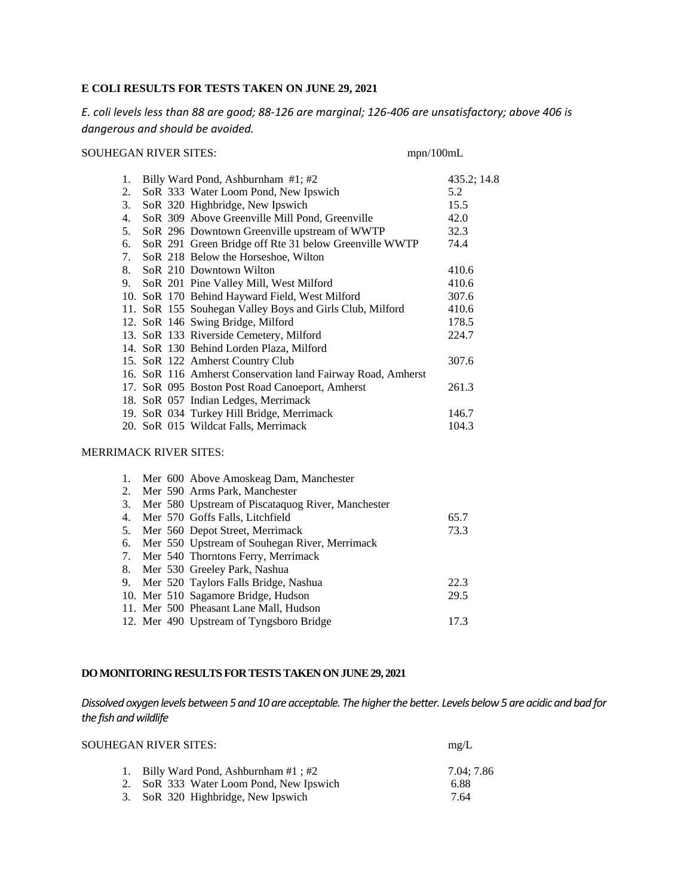# **E COLI RESULTS FOR TESTS TAKEN ON JUNE 29, 2021**

*E. coli levels less than 88 are good; 88-126 are marginal; 126-406 are unsatisfactory; above 406 is dangerous and should be avoided.*

| <b>SOUHEGAN RIVER SITES:</b> | mpn/100mL                                                   |             |
|------------------------------|-------------------------------------------------------------|-------------|
| 1.                           | Billy Ward Pond, Ashburnham #1; #2                          | 435.2; 14.8 |
| 2.                           | SoR 333 Water Loom Pond, New Ipswich                        | 5.2         |
| 3.                           | SoR 320 Highbridge, New Ipswich                             | 15.5        |
| 4.                           | SoR 309 Above Greenville Mill Pond, Greenville              | 42.0        |
| 5.                           | SoR 296 Downtown Greenville upstream of WWTP                | 32.3        |
|                              | 6. SoR 291 Green Bridge off Rte 31 below Greenville WWTP    | 74.4        |
|                              | 7. SoR 218 Below the Horseshoe, Wilton                      |             |
| 8.                           | SoR 210 Downtown Wilton                                     | 410.6       |
| 9.                           | SoR 201 Pine Valley Mill, West Milford                      | 410.6       |
|                              | 10. SoR 170 Behind Hayward Field, West Milford              | 307.6       |
|                              | 11. SoR 155 Souhegan Valley Boys and Girls Club, Milford    | 410.6       |
|                              | 12. SoR 146 Swing Bridge, Milford                           | 178.5       |
|                              | 13. SoR 133 Riverside Cemetery, Milford                     | 224.7       |
|                              | 14. SoR 130 Behind Lorden Plaza, Milford                    |             |
|                              | 15. SoR 122 Amherst Country Club                            | 307.6       |
|                              | 16. SoR 116 Amherst Conservation land Fairway Road, Amherst |             |
|                              | 17. SoR 095 Boston Post Road Canoeport, Amherst             | 261.3       |
|                              | 18. SoR 057 Indian Ledges, Merrimack                        |             |
|                              | 19. SoR 034 Turkey Hill Bridge, Merrimack                   | 146.7       |
|                              | 20. SoR 015 Wildcat Falls, Merrimack                        | 104.3       |

### MERRIMACK RIVER SITES:

|  | 1. Mer 600 Above Amoskeag Dam, Manchester            |      |
|--|------------------------------------------------------|------|
|  | 2. Mer 590 Arms Park, Manchester                     |      |
|  | 3. Mer 580 Upstream of Piscataquog River, Manchester |      |
|  | 4. Mer 570 Goffs Falls, Litchfield                   | 65.7 |
|  | 5. Mer 560 Depot Street, Merrimack                   | 73.3 |
|  | 6. Mer 550 Upstream of Souhegan River, Merrimack     |      |
|  | 7. Mer 540 Thorntons Ferry, Merrimack                |      |
|  | 8. Mer 530 Greeley Park, Nashua                      |      |
|  | 9. Mer 520 Taylors Falls Bridge, Nashua              | 22.3 |
|  | 10. Mer 510 Sagamore Bridge, Hudson                  | 29.5 |
|  | 11. Mer 500 Pheasant Lane Mall, Hudson               |      |
|  | 12. Mer 490 Upstream of Tyngsboro Bridge             | 17.3 |
|  |                                                      |      |

#### **DO MONITORING RESULTSFOR TESTS TAKEN ON JUNE 29, 2021**

*Dissolved oxygen levels between 5 and 10 are acceptable. The higher the better. Levels below5 are acidic and bad for the fish and wildlife*

| SOUHEGAN RIVER SITES:-<br>mg/L |                                            |            |  |
|--------------------------------|--------------------------------------------|------------|--|
|                                | 1. Billy Ward Pond, Ashburnham $#1$ ; $#2$ | 7.04: 7.86 |  |
|                                | 2. SoR 333 Water Loom Pond, New Ipswich    | 6.88       |  |
|                                | 3. SoR 320 Highbridge, New Ipswich         | 7.64       |  |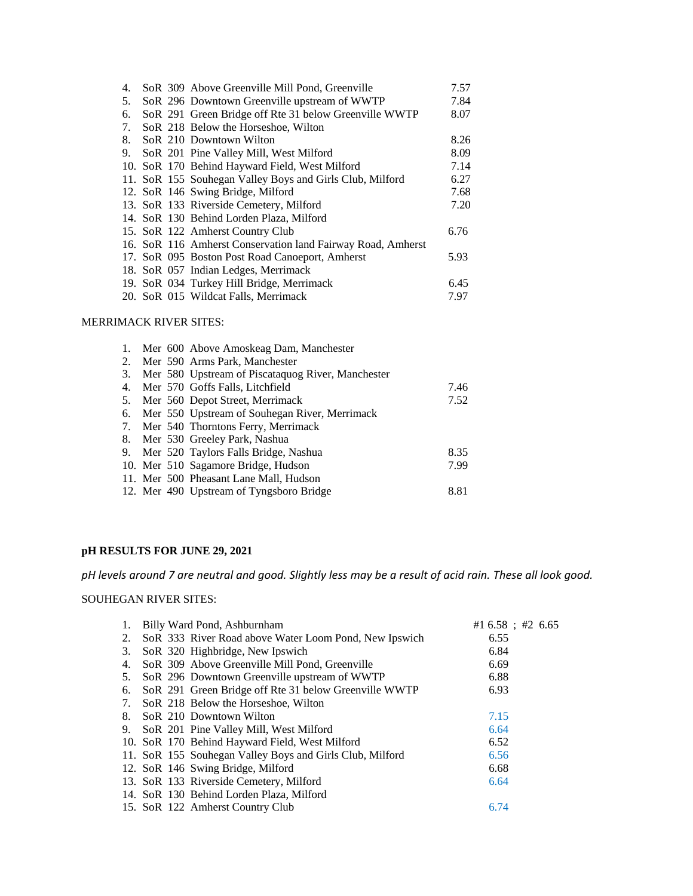| 4. |  | SoR 309 Above Greenville Mill Pond, Greenville              | 7.57 |
|----|--|-------------------------------------------------------------|------|
| 5. |  | SoR 296 Downtown Greenville upstream of WWTP                | 7.84 |
| 6. |  | SoR 291 Green Bridge off Rte 31 below Greenville WWTP       | 8.07 |
| 7. |  | SoR 218 Below the Horseshoe, Wilton                         |      |
| 8. |  | SoR 210 Downtown Wilton                                     | 8.26 |
| 9. |  | SoR 201 Pine Valley Mill, West Milford                      | 8.09 |
|    |  | 10. SoR 170 Behind Hayward Field, West Milford              | 7.14 |
|    |  | 11. SoR 155 Souhegan Valley Boys and Girls Club, Milford    | 6.27 |
|    |  | 12. SoR 146 Swing Bridge, Milford                           | 7.68 |
|    |  | 13. SoR 133 Riverside Cemetery, Milford                     | 7.20 |
|    |  | 14. SoR 130 Behind Lorden Plaza, Milford                    |      |
|    |  | 15. SoR 122 Amherst Country Club                            | 6.76 |
|    |  | 16. SoR 116 Amherst Conservation land Fairway Road, Amherst |      |
|    |  | 17. SoR 095 Boston Post Road Canoeport, Amherst             | 5.93 |
|    |  | 18. SoR 057 Indian Ledges, Merrimack                        |      |
|    |  | 19. SoR 034 Turkey Hill Bridge, Merrimack                   | 6.45 |
|    |  | 20. SoR 015 Wildcat Falls, Merrimack                        | 7.97 |

### MERRIMACK RIVER SITES:

|  | 1. Mer 600 Above Amoskeag Dam, Manchester            |      |
|--|------------------------------------------------------|------|
|  | 2. Mer 590 Arms Park, Manchester                     |      |
|  | 3. Mer 580 Upstream of Piscataquog River, Manchester |      |
|  | 4. Mer 570 Goffs Falls, Litchfield                   | 7.46 |
|  | 5. Mer 560 Depot Street, Merrimack                   | 7.52 |
|  | 6. Mer 550 Upstream of Souhegan River, Merrimack     |      |
|  | 7. Mer 540 Thorntons Ferry, Merrimack                |      |
|  | 8. Mer 530 Greeley Park, Nashua                      |      |
|  | 9. Mer 520 Taylors Falls Bridge, Nashua              | 8.35 |
|  | 10. Mer 510 Sagamore Bridge, Hudson                  | 7.99 |
|  | 11. Mer 500 Pheasant Lane Mall, Hudson               |      |
|  | 12. Mer 490 Upstream of Tyngsboro Bridge             | 8.81 |

# **pH RESULTS FOR JUNE 29, 2021**

*pH levels around 7 are neutral and good. Slightly less may be a result of acid rain. These all look good.*

# SOUHEGAN RIVER SITES:

| 1. | Billy Ward Pond, Ashburnham                              | #1 $6.58$ ; #2 $6.65$ |
|----|----------------------------------------------------------|-----------------------|
| 2. | SoR 333 River Road above Water Loom Pond, New Ipswich    | 6.55                  |
| 3. | SoR 320 Highbridge, New Ipswich                          | 6.84                  |
| 4. | SoR 309 Above Greenville Mill Pond, Greenville           | 6.69                  |
| 5. | SoR 296 Downtown Greenville upstream of WWTP             | 6.88                  |
| 6. | SoR 291 Green Bridge off Rte 31 below Greenville WWTP    | 6.93                  |
|    | 7. SoR 218 Below the Horseshoe, Wilton                   |                       |
| 8. | SoR 210 Downtown Wilton                                  | 7.15                  |
|    | 9. SoR 201 Pine Valley Mill, West Milford                | 6.64                  |
|    | 10. SoR 170 Behind Hayward Field, West Milford           | 6.52                  |
|    | 11. SoR 155 Souhegan Valley Boys and Girls Club, Milford | 6.56                  |
|    | 12. SoR 146 Swing Bridge, Milford                        | 6.68                  |
|    | 13. SoR 133 Riverside Cemetery, Milford                  | 6.64                  |
|    | 14. SoR 130 Behind Lorden Plaza, Milford                 |                       |
|    | 15. SoR 122 Amherst Country Club                         | 6.74                  |